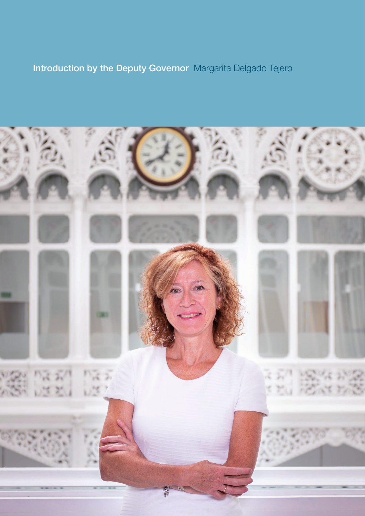## Introduction by the Deputy Governor Margarita Delgado Tejero

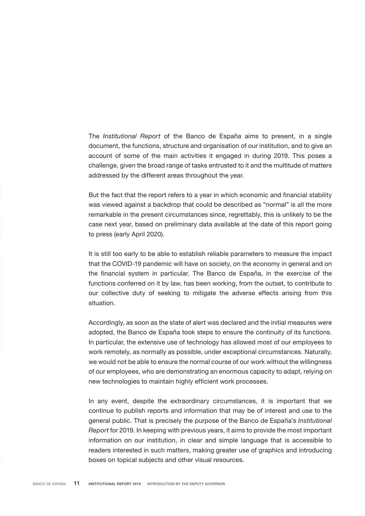The *Institutional Report* of the Banco de España aims to present, in a single document, the functions, structure and organisation of our institution, and to give an account of some of the main activities it engaged in during 2019. This poses a challenge, given the broad range of tasks entrusted to it and the multitude of matters addressed by the different areas throughout the year.

But the fact that the report refers to a year in which economic and financial stability was viewed against a backdrop that could be described as "normal" is all the more remarkable in the present circumstances since, regrettably, this is unlikely to be the case next year, based on preliminary data available at the date of this report going to press (early April 2020).

It is still too early to be able to establish reliable parameters to measure the impact that the COVID-19 pandemic will have on society, on the economy in general and on the financial system in particular. The Banco de España, in the exercise of the functions conferred on it by law, has been working, from the outset, to contribute to our collective duty of seeking to mitigate the adverse effects arising from this situation.

Accordingly, as soon as the state of alert was declared and the initial measures were adopted, the Banco de España took steps to ensure the continuity of its functions. In particular, the extensive use of technology has allowed most of our employees to work remotely, as normally as possible, under exceptional circumstances. Naturally, we would not be able to ensure the normal course of our work without the willingness of our employees, who are demonstrating an enormous capacity to adapt, relying on new technologies to maintain highly efficient work processes.

In any event, despite the extraordinary circumstances, it is important that we continue to publish reports and information that may be of interest and use to the general public. That is precisely the purpose of the Banco de España's *Institutional Report* for 2019. In keeping with previous years, it aims to provide the most important information on our institution, in clear and simple language that is accessible to readers interested in such matters, making greater use of graphics and introducing boxes on topical subjects and other visual resources.